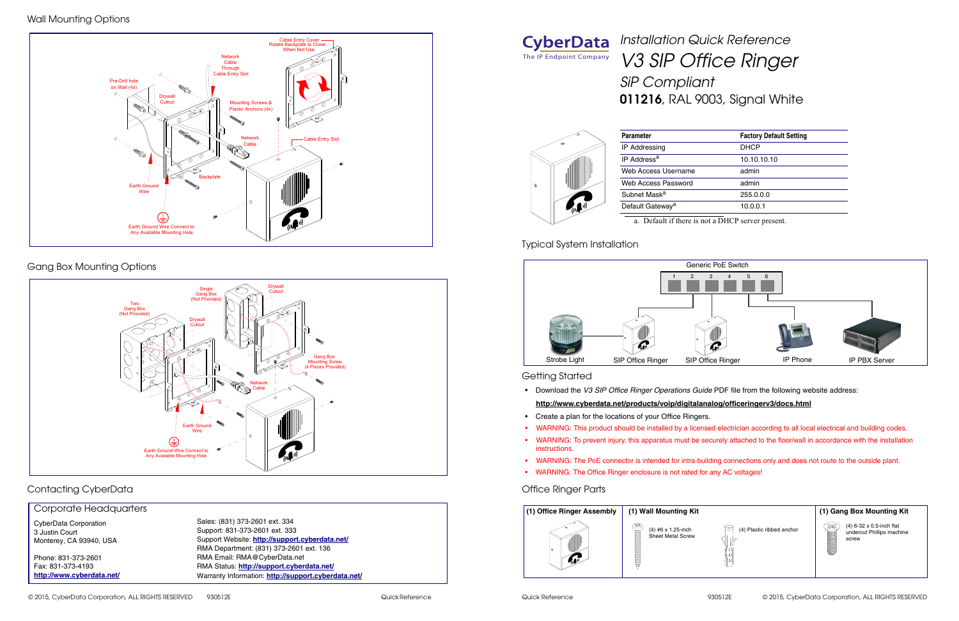© 2015, CyberData Corporation, ALL RIGHTS RESERVED 930512E Quick Reference Quick Reference 930512E © 2015, CyberData Corporation, ALL RIGHTS RESERVED



# Gang Box Mounting Options

# Contacting CyberData





Sales: (831) 373-2601 ext. 334 Support: 831-373-2601 ext. 333 Support Website: **<http://support.cyberdata.net/>** RMA Department: (831) 373-2601 ext. 136 RMA Email: RMA@CyberData.net [R](http://www.cyberdata.net/support/rmastatus.html)MA Status: **[http://support.cyberdata.net/](support.cyberdata.net)** Warranty Information: **http://support.cyberdata.net/** **CyberData** The IP Endpoint Company *SiP Compliant* **Parameter** IP Addressing IP Address<sup>a</sup> Web Access Username Web Access Password Subnet Mask<sup>a</sup> Default Gateway<sup>a</sup>

### Corporate Headquarters

CyberData Corporation 3 Justin Court Monterey, CA 93940, USA

Phone: 831-373-2601 Fax: 831-373-4193 **<http://www.cyberdata.net/>** Typical System Installation

Getting Started

- Download the *V3 SIP Office Ringer Operations Guide* PDF file from the following website address: **<http://www.cyberdata.net/products/voip/digitalanalog/officeringerv3/docs.html>**
- Create a plan for the locations of your Office Ringers.
- 
- instructions.
- 
- WARNING: The Office Ringer enclosure is not rated for any AC voltages!

• WARNING: This product should be installed by a licensed electrician according to all local electrical and building codes. • WARNING: To prevent injury, this apparatus must be securely attached to the floor/wall in accordance with the installation

• WARNING: The PoE connector is intended for intra-building connections only and does not route to the outside plant.

### Office Ringer Parts

a. Default if there is not a DHCP server present.

| <b>Factory Default Setting</b> |
|--------------------------------|
| <b>DHCP</b>                    |
| 10.10.10.10                    |
| admin                          |
| admin                          |
| 255.0.0.0                      |
| 10.0.0.1                       |
|                                |







# *Installation Quick Reference V3 SIP Office Ringer* **011216**, RAL 9003, Signal White